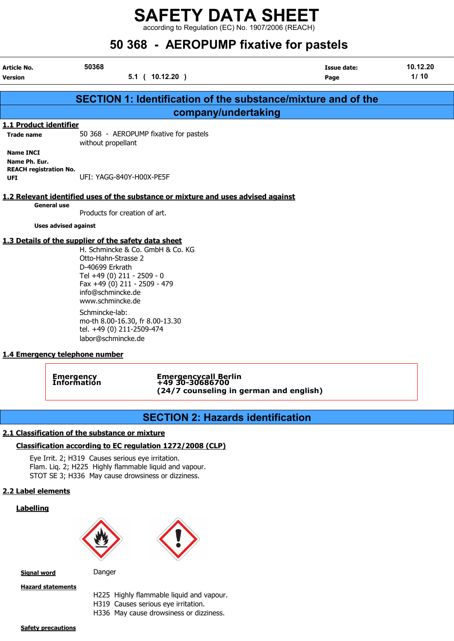according to Regulation (EC) No. 1907/2006 (REACH)

## 50 368 - AEROPUMP fixative for pastels

| Article No.<br><b>Version</b>        | 50368                                                                                                                                         | $5.1$ ( $10.12.20$ )                                                               | <b>Issue date:</b><br>Page                                           | 10.12.20<br>1/10 |
|--------------------------------------|-----------------------------------------------------------------------------------------------------------------------------------------------|------------------------------------------------------------------------------------|----------------------------------------------------------------------|------------------|
|                                      |                                                                                                                                               |                                                                                    | <b>SECTION 1: Identification of the substance/mixture and of the</b> |                  |
|                                      |                                                                                                                                               | company/undertaking                                                                |                                                                      |                  |
| 1.1 Product identifier               |                                                                                                                                               |                                                                                    |                                                                      |                  |
| <b>Trade name</b>                    | without propellant                                                                                                                            | 50 368 - AEROPUMP fixative for pastels                                             |                                                                      |                  |
| <b>Name INCI</b><br>Name Ph. Eur.    |                                                                                                                                               |                                                                                    |                                                                      |                  |
| <b>REACH registration No.</b><br>UFI | UFI: YAGG-840Y-H00X-PE5F                                                                                                                      |                                                                                    |                                                                      |                  |
|                                      |                                                                                                                                               | 1.2 Relevant identified uses of the substance or mixture and uses advised against  |                                                                      |                  |
|                                      | <b>General use</b><br>Products for creation of art.                                                                                           |                                                                                    |                                                                      |                  |
|                                      | <b>Uses advised against</b>                                                                                                                   |                                                                                    |                                                                      |                  |
|                                      | 1.3 Details of the supplier of the safety data sheet                                                                                          |                                                                                    |                                                                      |                  |
|                                      | Otto-Hahn-Strasse 2<br>D-40699 Erkrath<br>Tel +49 (0) 211 - 2509 - 0<br>Fax +49 (0) 211 - 2509 - 479<br>info@schmincke.de<br>www.schmincke.de | H. Schmincke & Co. GmbH & Co. KG                                                   |                                                                      |                  |
|                                      | Schmincke-lab:<br>mo-th 8.00-16.30, fr 8.00-13.30<br>tel. +49 (0) 211-2509-474<br>labor@schmincke.de                                          |                                                                                    |                                                                      |                  |
|                                      | 1.4 Emergency telephone number                                                                                                                |                                                                                    |                                                                      |                  |
|                                      | Emergency<br>Information                                                                                                                      | Emergencycall Berlin<br>+49 30-30686700<br>(24/7 counseling in german and english) |                                                                      |                  |

## SECTION 2: Hazards identification

## 2.1 Classification of the substance or mixture

## Classification according to EC regulation 1272/2008 (CLP)

Eye Irrit. 2; H319 Causes serious eye irritation. Flam. Liq. 2; H225 Highly flammable liquid and vapour. STOT SE 3; H336 May cause drowsiness or dizziness.

## 2.2 Label elements

## **Labelling**





Signal word Danger

Hazard statements

H225 Highly flammable liquid and vapour.

H319 Causes serious eye irritation.

H336 May cause drowsiness or dizziness.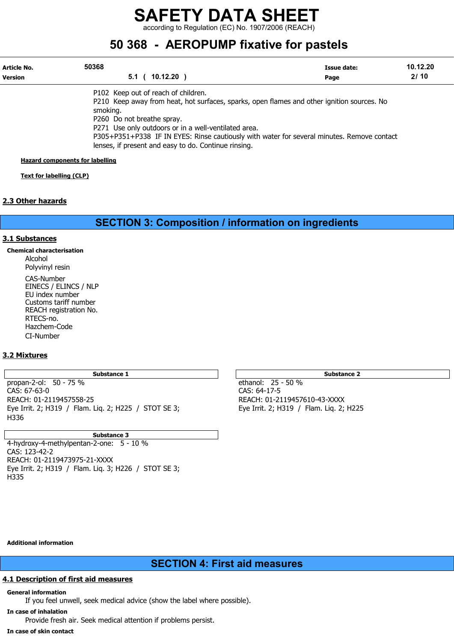according to Regulation (EC) No. 1907/2006 (REACH)

## 50 368 - AEROPUMP fixative for pastels

| Article No.    | 50368                                                                                                                                                                                                                               | Issue date: | 10.12.20 |
|----------------|-------------------------------------------------------------------------------------------------------------------------------------------------------------------------------------------------------------------------------------|-------------|----------|
| <b>Version</b> | $10.12.20$ )<br>5.1 <sub>0</sub>                                                                                                                                                                                                    | Page        | 2/10     |
|                | P102 Keep out of reach of children.<br>P210 Keep away from heat, hot surfaces, sparks, open flames and other ignition sources. No<br>smoking.<br>P260 Do not breathe spray.<br>P271 Use only outdoors or in a well-ventilated area. |             |          |
|                | P305+P351+P338 IF IN EYES: Rinse cautiously with water for several minutes. Remove contact<br>lenses, if present and easy to do. Continue rinsing.                                                                                  |             |          |

Hazard components for labelling

Text for labelling (CLP)

## 2.3 Other hazards

SECTION 3: Composition / information on ingredients

## 3.1 Substances

Chemical characterisation

Alcohol Polyvinyl resin

CAS-Number EINECS / ELINCS / NLP EU index number Customs tariff number REACH registration No. RTECS-no. Hazchem-Code CI-Number

## 3.2 Mixtures

propan-2-ol: 50 - 75 % ethanol: 25 - 50 % CAS: 67-63-0 CAS: 64-17-5 Eye Irrit. 2; H319 / Flam. Liq. 2; H225 / STOT SE 3; H336

Substance 3 4-hydroxy-4-methylpentan-2-one: 5 - 10 % CAS: 123-42-2 REACH: 01-2119473975-21-XXXX Eye Irrit. 2; H319 / Flam. Liq. 3; H226 / STOT SE 3; H335

Substance 1 Substance 2

REACH: 01-2119457610-43-XXXX<br>Eye Irrit. 2; H319 / Flam. Liq. 2; H225

Additional information

## SECTION 4: First aid measures

## 4.1 Description of first aid measures

#### General information

If you feel unwell, seek medical advice (show the label where possible).

In case of inhalation Provide fresh air. Seek medical attention if problems persist.

#### In case of skin contact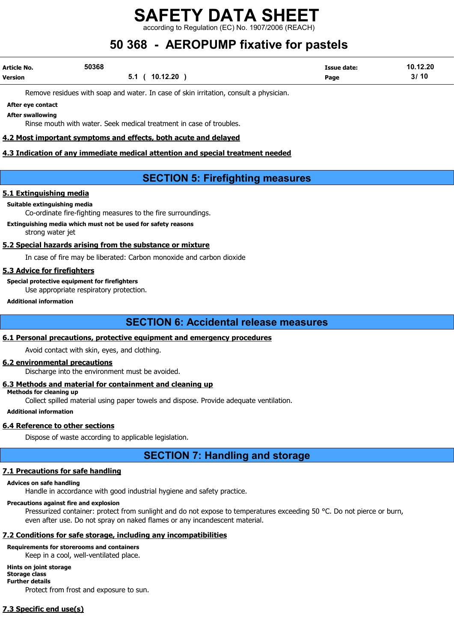according to Regulation (EC) No. 1907/2006 (REACH)

## 50 368 - AEROPUMP fixative for pastels

| Article No.    | 50368 |                | <b>Issue date:</b> | 10.12.20 |
|----------------|-------|----------------|--------------------|----------|
| <b>Version</b> |       | 5.1 ( 10.12.20 | Page               | 3/10     |

Remove residues with soap and water. In case of skin irritation, consult a physician.

#### After eye contact After swallowing

Rinse mouth with water. Seek medical treatment in case of troubles.

## 4.2 Most important symptoms and effects, both acute and delayed

## 4.3 Indication of any immediate medical attention and special treatment needed

## SECTION 5: Firefighting measures

## 5.1 Extinguishing media

#### Suitable extinguishing media

Co-ordinate fire-fighting measures to the fire surroundings.

Extinguishing media which must not be used for safety reasons strong water jet

## 5.2 Special hazards arising from the substance or mixture

In case of fire may be liberated: Carbon monoxide and carbon dioxide

## 5.3 Advice for firefighters

Special protective equipment for firefighters Use appropriate respiratory protection.

#### Additional information

## SECTION 6: Accidental release measures

## 6.1 Personal precautions, protective equipment and emergency procedures

Avoid contact with skin, eyes, and clothing.

## 6.2 environmental precautions

Discharge into the environment must be avoided.

## 6.3 Methods and material for containment and cleaning up

Methods for cleaning up

Collect spilled material using paper towels and dispose. Provide adequate ventilation.

## Additional information

## 6.4 Reference to other sections

Dispose of waste according to applicable legislation.

## SECTION 7: Handling and storage

## 7.1 Precautions for safe handling

## Advices on safe handling

Handle in accordance with good industrial hygiene and safety practice.

## Precautions against fire and explosion

Pressurized container: protect from sunlight and do not expose to temperatures exceeding 50 °C. Do not pierce or burn, even after use. Do not spray on naked flames or any incandescent material.

## 7.2 Conditions for safe storage, including any incompatibilities

## Requirements for storerooms and containers

Keep in a cool, well-ventilated place.

## Hints on joint storage

#### Storage class Further details

Protect from frost and exposure to sun.

## 7.3 Specific end use(s)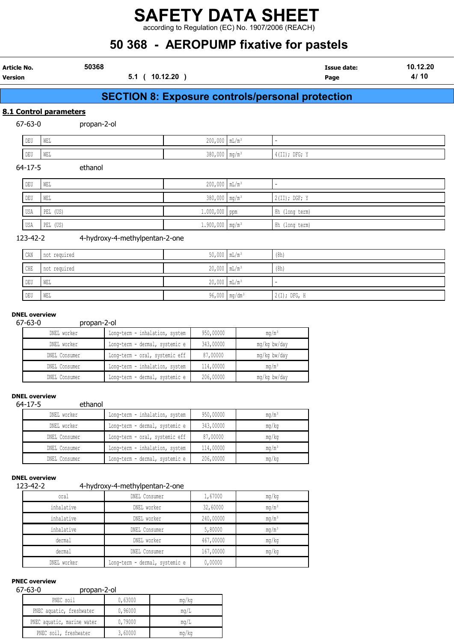according to Regulation (EC) No. 1907/2006 (REACH)

## 50 368 - AEROPUMP fixative for pastels

|                        | 50368                          |                               | <b>00 000 - ALITOI UNII TIAGUYU IUI PASIUIS</b><br><b>Issue date:</b> | 10.12.20 |
|------------------------|--------------------------------|-------------------------------|-----------------------------------------------------------------------|----------|
| Article No.<br>Version |                                | 5.1 ( 10.12.20 )              | Page                                                                  | 4/10     |
|                        |                                |                               | <b>SECTION 8: Exposure controls/personal protection</b>               |          |
|                        | 8.1 Control parameters         |                               |                                                                       |          |
| $67 - 63 - 0$          | propan-2-ol                    |                               |                                                                       |          |
| DEU                    | WEL                            | $200,000$ $mL/m^3$            | ٠                                                                     |          |
| DEU                    | WEL                            | $380,000$ mg/m <sup>3</sup>   | $4$ (II); DFG; Y                                                      |          |
| $64 - 17 - 5$          | ethanol                        |                               |                                                                       |          |
| DEU                    | WEL                            | $200,000$ $mL/m^3$            | ٠                                                                     |          |
| DEU                    | WEL                            | 380,000 mg/m <sup>3</sup>     | 2(II); DGF; Y                                                         |          |
| USA                    | PEL (US)                       | $1.000,000$ ppm               | 8h (long term)                                                        |          |
| USA                    | PEL (US)                       | $1.900,000$ mg/m <sup>3</sup> | 8h (long term)                                                        |          |
| 123-42-2               | 4-hydroxy-4-methylpentan-2-one |                               |                                                                       |          |
| CAN                    | not required                   | $50,000$ $mL/m^3$             | (8h)                                                                  |          |
| CHE                    | not required                   | $20,000$ $mL/m^3$             | (8h)                                                                  |          |

DEU WEL 20,000 mL/m³ -

DEU WEL 96,000 mg/dm³ 2(I); DFG, H

## DNEL overview

Ļ

### 67-63-0 propan-2-ol

| DNEL worker   | Long-term - inhalation, system | 950,00000 | mq/m <sup>3</sup> |
|---------------|--------------------------------|-----------|-------------------|
| DNEL worker   | Long-term - dermal, systemic e | 343,00000 | mg/kg bw/day      |
| DNEL Consumer | Long-term - oral, systemic eff | 87,00000  | mg/kg bw/day      |
| DNEL Consumer | Long-term - inhalation, system | 114,00000 | $mq/m^3$          |
| DNEL Consumer | Long-term - dermal, systemic e | 206,00000 | mg/kg bw/day      |

## DNEL overview

64-17-5 ethanol

| DNEL worker   | Long-term - inhalation, system | 950,00000 | ma/m <sup>3</sup> |
|---------------|--------------------------------|-----------|-------------------|
| DNEL worker   | Long-term - dermal, systemic e | 343,00000 | mg/kg             |
| DNEL Consumer | Long-term - oral, systemic eff | 87,00000  | mq/kg             |
| DNEL Consumer | Long-term - inhalation, system | 114,00000 | ma/m <sup>3</sup> |
| DNEL Consumer | Long-term - dermal, systemic e | 206,00000 | mg/kg             |

#### DNEL overview

## 123-42-2 4-hydroxy-4-methylpentan-2-one

| oral        | . .<br>DNEL Consumer           | 1,67000   | mg/kg             |
|-------------|--------------------------------|-----------|-------------------|
|             |                                |           |                   |
| inhalative  | DNEL worker                    | 32,60000  | mg/m <sup>3</sup> |
| inhalative  | DNEL worker                    | 240,00000 | mg/m <sup>3</sup> |
| inhalative  | DNEL Consumer                  | 5,80000   | mg/m <sup>3</sup> |
| dermal      | DNEL worker                    | 467,00000 | mg/kg             |
| dermal      | DNEL Consumer                  | 167,00000 | mq/kg             |
| DNEL worker | Long-term - dermal, systemic e | 0,00000   |                   |

## PNEC overview

### 67-63-0 propan-2-ol

| ט−ט∪− /י<br><b>DI UDALI-Z-UL</b> |         |       |  |
|----------------------------------|---------|-------|--|
| PNEC soil                        | 0,63000 | mg/kg |  |
| PNEC aquatic, freshwater         | 0,96000 | mq/L  |  |
| PNEC aquatic, marine water       | 0,79000 | mq/L  |  |
| PNEC soil, freshwater            | 3,60000 | mg/kg |  |
|                                  |         |       |  |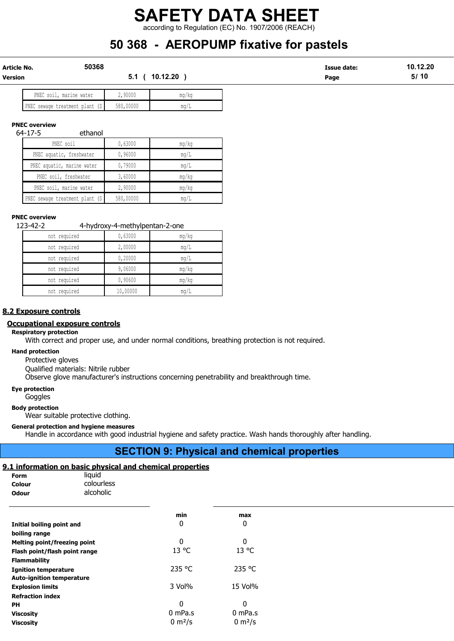according to Regulation (EC) No. 1907/2006 (REACH)

## 50 368 - AEROPUMP fixative for pastels

| Article No. | 50368           | Issue date: | 10.12.20 |
|-------------|-----------------|-------------|----------|
| Version     | 10.12.20<br>5.1 | Page        | 10<br>5/ |
|             |                 |             |          |

| PNEC soil,<br>marine water      | 2,90000   | mg/kg |
|---------------------------------|-----------|-------|
| PNEC sewage treatment plant (S) | 580,00000 | mq/L  |

### PNEC overview

64-17-5 ethanol

| PNEC soil                     | 0,63000   | mq/kg |
|-------------------------------|-----------|-------|
| PNEC aquatic, freshwater      | 0,96000   | mq/L  |
| PNEC aquatic, marine water    | 0,79000   | mq/L  |
| PNEC soil, freshwater         | 3,60000   | mq/kg |
| PNEC soil, marine water       | 2,90000   | mq/kg |
| NEC sewage treatment plant (S | 580,00000 | mq/L  |

#### PNEC overview

123-42-2 4-hydroxy-4-methylpentan-2-one

| not required | 0,63000  | mg/kg |
|--------------|----------|-------|
| not required | 2,00000  | mq/L  |
| not required | 0,20000  | mq/L  |
| not required | 9,06000  | mg/kg |
| not required | 0,90600  | mg/kg |
| not required | 10,00000 | mq/L  |

#### 8.2 Exposure controls

## Occupational exposure controls

#### Respiratory protection

With correct and proper use, and under normal conditions, breathing protection is not required.

#### Hand protection

Protective gloves

Qualified materials: Nitrile rubber

Observe glove manufacturer's instructions concerning penetrability and breakthrough time.

#### Eye protection

**Goggles** 

#### Body protection

Wear suitable protective clothing.

#### General protection and hygiene measures

Handle in accordance with good industrial hygiene and safety practice. Wash hands thoroughly after handling.

## SECTION 9: Physical and chemical properties

## 9.1 information on basic physical and chemical properties

| Form         | liquid     |
|--------------|------------|
| Colour       | colourless |
| <b>Odour</b> | alcoholic  |

|                                  | min                | max                 |
|----------------------------------|--------------------|---------------------|
| Initial boiling point and        | 0                  | 0                   |
| boiling range                    |                    |                     |
| Melting point/freezing point     | 0                  | 0                   |
| Flash point/flash point range    | 13 °C              | 13 °C               |
| <b>Flammability</b>              |                    |                     |
| <b>Ignition temperature</b>      | 235 °C             | 235 °C              |
| <b>Auto-ignition temperature</b> |                    |                     |
| <b>Explosion limits</b>          | 3 Vol%             | 15 Vol%             |
| <b>Refraction index</b>          |                    |                     |
| PН                               | 0                  | 0                   |
| <b>Viscosity</b>                 | $0$ mPa.s          | 0 mPa.s             |
| <b>Viscosity</b>                 | $0 \text{ m}^2$ /s | 0 m <sup>2</sup> /s |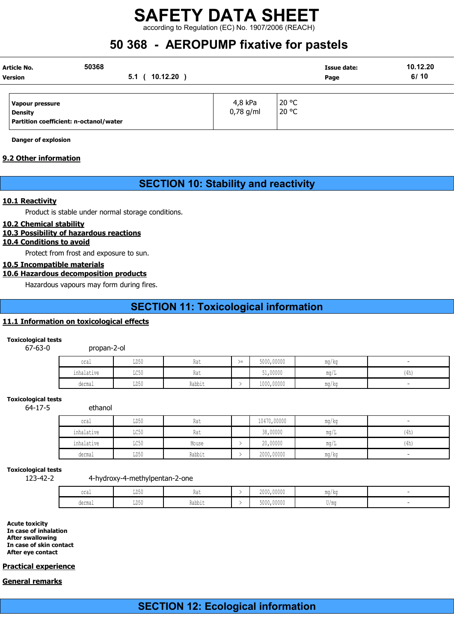according to Regulation (EC) No. 1907/2006 (REACH)

## 50 368 - AEROPUMP fixative for pastels

|                | Article No.                            | 50368            |          |             |       | Issue date: | 10.12.20 |
|----------------|----------------------------------------|------------------|----------|-------------|-------|-------------|----------|
| <b>Version</b> |                                        | 5.1 <sub>0</sub> | 10.12.20 |             | Page  | 6/10        |          |
|                |                                        |                  |          |             |       |             |          |
|                | Vapour pressure                        |                  |          | 4,8 kPa     | 20 °C |             |          |
|                | <b>Density</b>                         |                  |          | $0,78$ g/ml | 20 °C |             |          |
|                | Partition coefficient: n-octanol/water |                  |          |             |       |             |          |

Danger of explosion

## 9.2 Other information

## SECTION 10: Stability and reactivity

#### 10.1 Reactivity

Product is stable under normal storage conditions.

#### 10.2 Chemical stability

## 10.3 Possibility of hazardous reactions

## 10.4 Conditions to avoid

Protect from frost and exposure to sun.

## 10.5 Incompatible materials

## 10.6 Hazardous decomposition products

Hazardous vapours may form during fires.

## SECTION 11: Toxicological information

## 11.1 Information on toxicological effects

#### Toxicological tests

#### 67-63-0 propan-2-ol

| oral                                    | LD50                  | Rat    | $\overline{\phantom{a}}$ | 5000,00000 | $\overline{\phantom{a}}$<br>ma/ka |                          |
|-----------------------------------------|-----------------------|--------|--------------------------|------------|-----------------------------------|--------------------------|
| the state of the state of<br>inhalative | LC50                  | Rat    |                          | 51,00000   | $m\alpha$                         | 11 <sub>h</sub><br>(411) |
| dermal                                  | LD50<br>$\sim$ $\sim$ | Rabbit |                          | 1000,00000 | $\overline{\phantom{a}}$<br>mg/kg |                          |

#### Toxicological tests

64-17-5 ethanol

| oral       | LD50 | Rat    | 10470,00000 | mg/kg | $\overline{\phantom{a}}$ |
|------------|------|--------|-------------|-------|--------------------------|
| inhalative | LC50 | Rat    | 38,00000    | ma/   | (4h)                     |
| inhalative | LC50 | Mouse  | 20,00000    | ma/L  | (4h)                     |
| dermal     | LD50 | Rabbit | 2000,00000  | mg/kg | $\overline{\phantom{a}}$ |

## Toxicological tests

123-42-2 4-hydroxy-4-methylpentan-2-one

| oral   | TDEA<br>∪∪ע          | Rat                       | 2000,00000 | ma/kr<br>1114   174 |  |
|--------|----------------------|---------------------------|------------|---------------------|--|
| dermal | エロミハ<br><b>TINYA</b> | $\sim$<br>じっトトッ<br>παυντι | 5000,00000 | U/mc                |  |

Acute toxicity In case of inhalation After swallowing In case of skin contact After eye contact

## Practical experience

## General remarks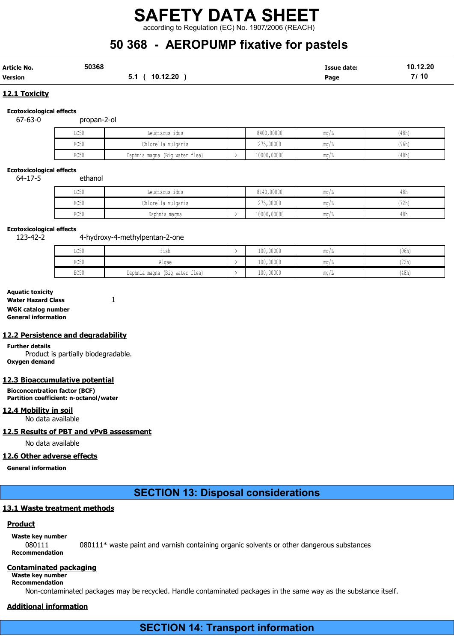according to Regulation (EC) No. 1907/2006 (REACH)

## 50 368 - AEROPUMP fixative for pastels

| <b>Article No.</b> | 50368 |                | <b>Issue date:</b> | 10.12.20 |
|--------------------|-------|----------------|--------------------|----------|
| Version            |       | 5.1 ( 10.12.20 | Page               | 7/10     |

## 12.1 Toxicity

## Ecotoxicological effects

67-63-0 propan-2-ol

| LC50 | Leuciscus idus                    | 8400,00000  | 111.U / 11             | 48h   |
|------|-----------------------------------|-------------|------------------------|-------|
| EC50 | Chlorella vulgaris                | 275,00000   | ulu / Iz               | (96h) |
| EC50 | water flea)<br>Daphnia magna (Big | 10000,00000 | $m \sim$<br>111.U / 11 | (48h) |

#### Ecotoxicological effects

64-17-5 ethanol

| T OR A<br>コワンク          | Leuciscus idus     | 8140,00000  | mq/L           | 48h   |
|-------------------------|--------------------|-------------|----------------|-------|
| EC50                    | Chlorella vulgaris | 275,00000   | $\text{max/L}$ | '72h) |
| $P \cap E \cap$<br>むしつり | Daphnia magna      | 10000,00000 | $\text{max/L}$ | 48h   |

### Ecotoxicological effects

123-42-2 4-hydroxy-4-methylpentan-2-one

| LC50            | $-1$<br>$+1$ sh<br>---         | 100,00000 | ma/' | (96h          |
|-----------------|--------------------------------|-----------|------|---------------|
| EC50            | Algae                          | 100,00000 | ma/l | 1721<br>l Izn |
| EC <sub>5</sub> | Daphnia magna (Big water flea) | 100,00000 | ma/L | (48h)         |

## Aquatic toxicity

Water Hazard Class 1 WGK catalog number General information

## 12.2 Persistence and degradability

Further details Product is partially biodegradable. Oxygen demand

## 12.3 Bioaccumulative potential

Bioconcentration factor (BCF) Partition coefficient: n-octanol/water

## 12.4 Mobility in soil

No data available

## 12.5 Results of PBT and vPvB assessment

No data available

## 12.6 Other adverse effects

General information

## SECTION 13: Disposal considerations

## 13.1 Waste treatment methods

## **Product**

Waste key number

080111 080111\* waste paint and varnish containing organic solvents or other dangerous substances Recommendation

## Contaminated packaging

Waste key number Recommendation

Non-contaminated packages may be recycled. Handle contaminated packages in the same way as the substance itself.

## Additional information

SECTION 14: Transport information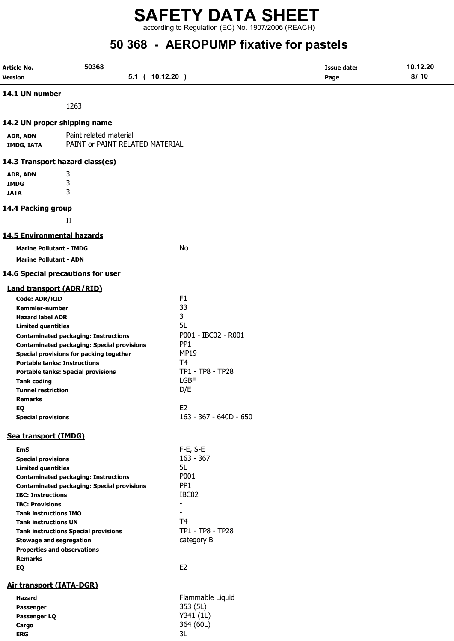according to Regulation (EC) No. 1907/2006 (REACH)

# 50 368 - AEROPUMP fixative for pastels

| Article No.                       | 50368                                                                                            |                                        | <b>Issue date:</b> | 10.12.20 |
|-----------------------------------|--------------------------------------------------------------------------------------------------|----------------------------------------|--------------------|----------|
| <b>Version</b>                    | 5.1 ( 10.12.20 )                                                                                 |                                        | Page               | 8/10     |
| 14.1 UN number                    |                                                                                                  |                                        |                    |          |
|                                   | 1263                                                                                             |                                        |                    |          |
|                                   | 14.2 UN proper shipping name                                                                     |                                        |                    |          |
| ADR, ADN<br><b>IMDG, IATA</b>     | Paint related material<br>PAINT or PAINT RELATED MATERIAL                                        |                                        |                    |          |
|                                   |                                                                                                  |                                        |                    |          |
|                                   | 14.3 Transport hazard class(es)                                                                  |                                        |                    |          |
| ADR, ADN                          | 3                                                                                                |                                        |                    |          |
| <b>IMDG</b>                       | 3                                                                                                |                                        |                    |          |
| <b>IATA</b>                       | 3                                                                                                |                                        |                    |          |
| 14.4 Packing group                |                                                                                                  |                                        |                    |          |
|                                   | $_{\rm II}$                                                                                      |                                        |                    |          |
| <b>14.5 Environmental hazards</b> |                                                                                                  |                                        |                    |          |
| <b>Marine Pollutant - IMDG</b>    |                                                                                                  | No                                     |                    |          |
| <b>Marine Pollutant - ADN</b>     |                                                                                                  |                                        |                    |          |
|                                   | 14.6 Special precautions for user                                                                |                                        |                    |          |
| <b>Land transport (ADR/RID)</b>   |                                                                                                  |                                        |                    |          |
| <b>Code: ADR/RID</b>              |                                                                                                  | F1                                     |                    |          |
| <b>Kemmler-number</b>             |                                                                                                  | 33                                     |                    |          |
| <b>Hazard label ADR</b>           |                                                                                                  | 3                                      |                    |          |
| <b>Limited quantities</b>         |                                                                                                  | 5L                                     |                    |          |
|                                   | <b>Contaminated packaging: Instructions</b><br><b>Contaminated packaging: Special provisions</b> | P001 - IBC02 - R001<br>PP <sub>1</sub> |                    |          |
|                                   | Special provisions for packing together                                                          | <b>MP19</b>                            |                    |          |
|                                   | <b>Portable tanks: Instructions</b>                                                              | T <sub>4</sub>                         |                    |          |
|                                   | <b>Portable tanks: Special provisions</b>                                                        | TP1 - TP8 - TP28                       |                    |          |
| <b>Tank coding</b>                |                                                                                                  | <b>LGBF</b>                            |                    |          |
| <b>Tunnel restriction</b>         |                                                                                                  | D/E                                    |                    |          |
| <b>Remarks</b>                    |                                                                                                  |                                        |                    |          |
| EQ                                |                                                                                                  | E <sub>2</sub>                         |                    |          |
| <b>Special provisions</b>         |                                                                                                  | 163 - 367 - 640D - 650                 |                    |          |
| Sea transport (IMDG)              |                                                                                                  |                                        |                    |          |
| <b>EmS</b>                        |                                                                                                  | $F-E$ , S-E                            |                    |          |
| <b>Special provisions</b>         |                                                                                                  | $163 - 367$                            |                    |          |
| <b>Limited quantities</b>         |                                                                                                  | 5L                                     |                    |          |
|                                   | <b>Contaminated packaging: Instructions</b>                                                      | P001                                   |                    |          |
|                                   | <b>Contaminated packaging: Special provisions</b>                                                | PP <sub>1</sub>                        |                    |          |
| <b>IBC: Instructions</b>          |                                                                                                  | IBC02                                  |                    |          |
| <b>IBC: Provisions</b>            |                                                                                                  | $\blacksquare$                         |                    |          |
| <b>Tank instructions IMO</b>      |                                                                                                  |                                        |                    |          |
| <b>Tank instructions UN</b>       |                                                                                                  | T <sub>4</sub><br>TP1 - TP8 - TP28     |                    |          |
|                                   | <b>Tank instructions Special provisions</b>                                                      |                                        |                    |          |
| <b>Stowage and segregation</b>    | <b>Properties and observations</b>                                                               | category B                             |                    |          |
| <b>Remarks</b>                    |                                                                                                  |                                        |                    |          |
| EQ                                |                                                                                                  | E <sub>2</sub>                         |                    |          |
| Air transport (IATA-DGR)          |                                                                                                  |                                        |                    |          |
| <b>Hazard</b>                     |                                                                                                  | Flammable Liquid                       |                    |          |
| Passenger                         |                                                                                                  | 353 (5L)                               |                    |          |
| Passenger LQ                      |                                                                                                  | Y341 (1L)                              |                    |          |
| Cargo                             |                                                                                                  | 364 (60L)                              |                    |          |
| <b>ERG</b>                        |                                                                                                  | 3L                                     |                    |          |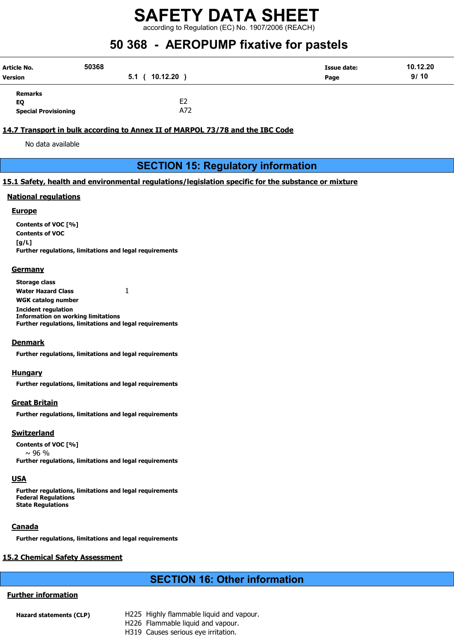according to Regulation (EC) No. 1907/2006 (REACH)

## 50 368 - AEROPUMP fixative for pastels

| <b>Article No.</b><br>Version | 50368<br>10.12.20<br>5.1 <sub>0</sub> | Issue date:<br>Page | 10.12.20<br>9/10 |
|-------------------------------|---------------------------------------|---------------------|------------------|
| Remarks                       |                                       |                     |                  |
| EQ                            | E <sub>2</sub>                        |                     |                  |
| <b>Special Provisioning</b>   | A72                                   |                     |                  |

## 14.7 Transport in bulk according to Annex II of MARPOL 73/78 and the IBC Code

No data available

## SECTION 15: Regulatory information

## 15.1 Safety, health and environmental regulations/legislation specific for the substance or mixture

## National regulations

#### **Europe**

Contents of VOC [%] Contents of VOC [g/L] Further regulations, limitations and legal requirements

#### **Germany**

Storage class Water Hazard Class 1 WGK catalog number Incident regulation Information on working limitations Further regulations, limitations and legal requirements

## **Denmark**

Further regulations, limitations and legal requirements

#### Hungary

Further regulations, limitations and legal requirements

## Great Britain

Further regulations, limitations and legal requirements

## **Switzerland**

Contents of VOC [%]  $~\sim$  96 % Further regulations, limitations and legal requirements

## USA

Further regulations, limitations and legal requirements Federal Regulations State Regulations

## **Canada**

Further regulations, limitations and legal requirements

## 15.2 Chemical Safety Assessment

## SECTION 16: Other information

## Further information

- Hazard statements (CLP) H225 Highly flammable liquid and vapour.
	- H226 Flammable liquid and vapour.
		- H319 Causes serious eye irritation.